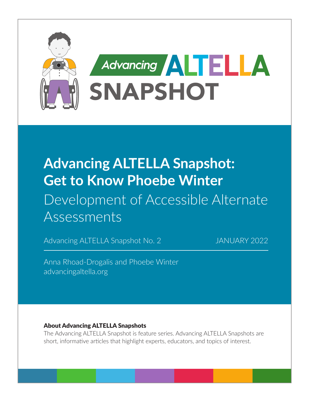

# **Advancing ALTELLA Snapshot: Get to Know Phoebe Winter** Development of Accessible Alternate Assessments

Advancing ALTELLA Snapshot No. 2 JANUARY 2022

Anna Rhoad-Drogalis and Phoebe Winter [advancingaltella.org](http://advancingaltella.org)

#### About Advancing ALTELLA Snapshots

The Advancing ALTELLA Snapshot is feature series. Advancing ALTELLA Snapshots are short, informative articles that highlight experts, educators, and topics of interest.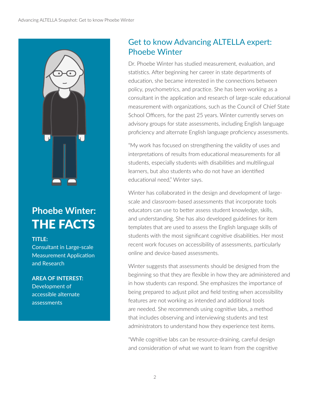

## **Phoebe Winter:**  THE FACTS

#### **TITLE:**

Consultant in Large-scale Measurement Application and Research

#### **AREA OF INTEREST:**

Development of accessible alternate assessments

### Get to know Advancing ALTELLA expert: Phoebe Winter

Dr. Phoebe Winter has studied measurement, evaluation, and statistics. After beginning her career in state departments of education, she became interested in the connections between policy, psychometrics, and practice. She has been working as a consultant in the application and research of large-scale educational measurement with organizations, such as the Council of Chief State School Officers, for the past 25 years. Winter currently serves on advisory groups for state assessments, including English language proficiency and alternate English language proficiency assessments.

"My work has focused on strengthening the validity of uses and interpretations of results from educational measurements for all students, especially students with disabilities and multilingual learners, but also students who do not have an identified educational need," Winter says.

Winter has collaborated in the design and development of largescale and classroom-based assessments that incorporate tools educators can use to better assess student knowledge, skills, and understanding. She has also developed guidelines for item templates that are used to assess the English language skills of students with the most significant cognitive disabilities. Her most recent work focuses on accessibility of assessments, particularly online and device-based assessments.

Winter suggests that assessments should be designed from the beginning so that they are flexible in how they are administered and in how students can respond. She emphasizes the importance of being prepared to adjust pilot and field testing when accessibility features are not working as intended and additional tools are needed. She recommends using cognitive labs, a method that includes observing and interviewing students and test administrators to understand how they experience test items.

"While cognitive labs can be resource-draining, careful design and consideration of what we want to learn from the cognitive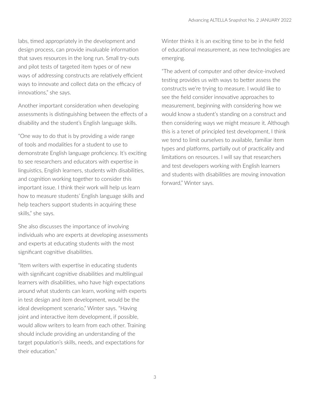labs, timed appropriately in the development and design process, can provide invaluable information that saves resources in the long run. Small try-outs and pilot tests of targeted item types or of new ways of addressing constructs are relatively efficient ways to innovate and collect data on the efficacy of innovations," she says.

Another important consideration when developing assessments is distinguishing between the effects of a disability and the student's English language skills.

"One way to do that is by providing a wide range of tools and modalities for a student to use to demonstrate English language proficiency. It's exciting to see researchers and educators with expertise in linguistics, English learners, students with disabilities, and cognition working together to consider this important issue. I think their work will help us learn how to measure students' English language skills and help teachers support students in acquiring these skills," she says.

She also discusses the importance of involving individuals who are experts at developing assessments and experts at educating students with the most significant cognitive disabilities.

"Item writers with expertise in educating students with significant cognitive disabilities and multilingual learners with disabilities, who have high expectations around what students can learn, working with experts in test design and item development, would be the ideal development scenario," Winter says. "Having joint and interactive item development, if possible, would allow writers to learn from each other. Training should include providing an understanding of the target population's skills, needs, and expectations for their education."

Winter thinks it is an exciting time to be in the field of educational measurement, as new technologies are emerging.

"The advent of computer and other device-involved testing provides us with ways to better assess the constructs we're trying to measure. I would like to see the field consider innovative approaches to measurement, beginning with considering how we would know a student's standing on a construct and then considering ways we might measure it. Although this is a tenet of principled test development, I think we tend to limit ourselves to available, familiar item types and platforms, partially out of practicality and limitations on resources. I will say that researchers and test developers working with English learners and students with disabilities are moving innovation forward," Winter says.